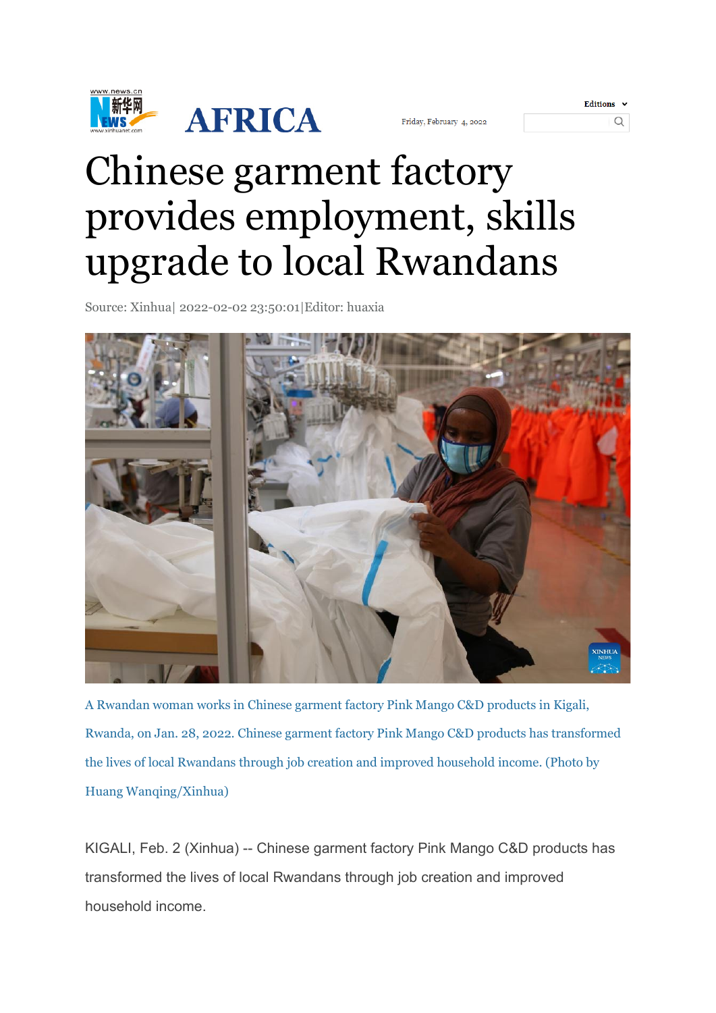

| riday, February 4, 2022 |  |  |
|-------------------------|--|--|
|-------------------------|--|--|

| <b>Editions</b> |  |
|-----------------|--|
|                 |  |

## Chinese garment factory provides employment, skills upgrade to local Rwandans

Source: Xinhua| 2022-02-02 23:50:01|Editor: huaxia



A Rwandan woman works in Chinese garment factory Pink Mango C&D products in Kigali, Rwanda, on Jan. 28, 2022. Chinese garment factory Pink Mango C&D products has transformed the lives of local Rwandans through job creation and improved household income. (Photo by Huang Wanqing/Xinhua)

KIGALI, Feb. 2 (Xinhua) -- Chinese garment factory Pink Mango C&D products has transformed the lives of local Rwandans through job creation and improved household income.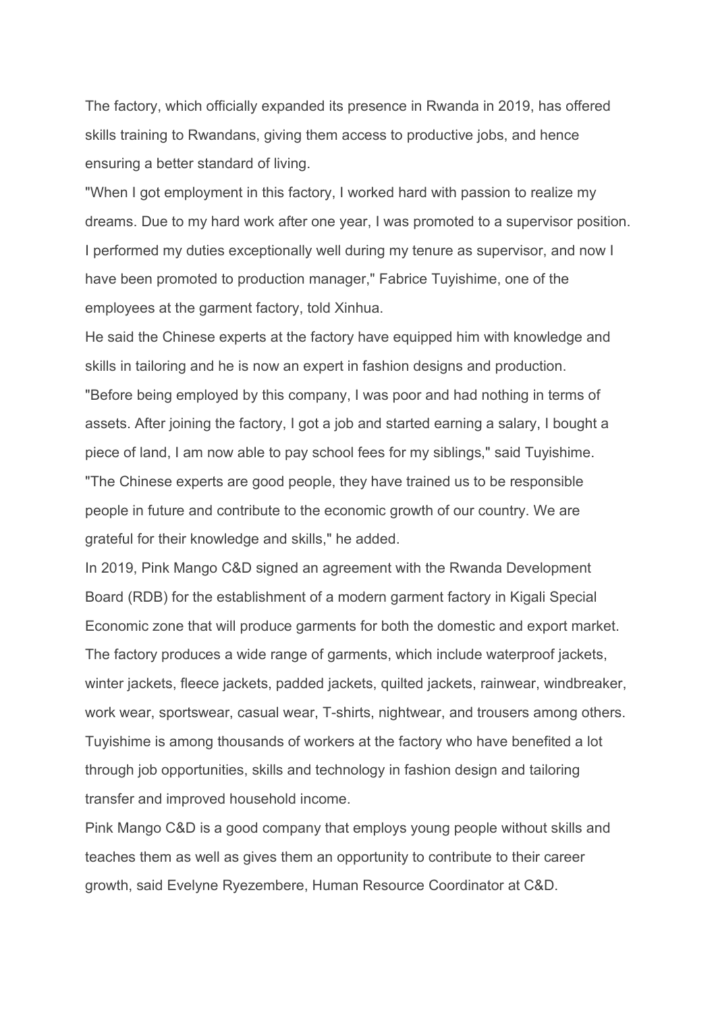The factory, which officially expanded its presence in Rwanda in 2019, has offered skills training to Rwandans, giving them access to productive jobs, and hence ensuring a better standard of living.

"When I got employment in this factory, I worked hard with passion to realize my dreams. Due to my hard work after one year, I was promoted to a supervisor position. I performed my duties exceptionally well during my tenure as supervisor, and now I have been promoted to production manager," Fabrice Tuyishime, one of the employees at the garment factory, told Xinhua.

He said the Chinese experts at the factory have equipped him with knowledge and skills in tailoring and he is now an expert in fashion designs and production. "Before being employed by this company, I was poor and had nothing in terms of assets. After joining the factory, I got a job and started earning a salary, I bought a piece of land, I am now able to pay school fees for my siblings," said Tuyishime. "The Chinese experts are good people, they have trained us to be responsible people in future and contribute to the economic growth of our country. We are grateful for their knowledge and skills," he added.

In 2019, Pink Mango C&D signed an agreement with the Rwanda Development Board (RDB) for the establishment of a modern garment factory in Kigali Special Economic zone that will produce garments for both the domestic and export market. The factory produces a wide range of garments, which include waterproof jackets, winter jackets, fleece jackets, padded jackets, quilted jackets, rainwear, windbreaker, work wear, sportswear, casual wear, T-shirts, nightwear, and trousers among others. Tuyishime is among thousands of workers at the factory who have benefited a lot through job opportunities, skills and technology in fashion design and tailoring transfer and improved household income.

Pink Mango C&D is a good company that employs young people without skills and teaches them as well as gives them an opportunity to contribute to their career growth, said Evelyne Ryezembere, Human Resource Coordinator at C&D.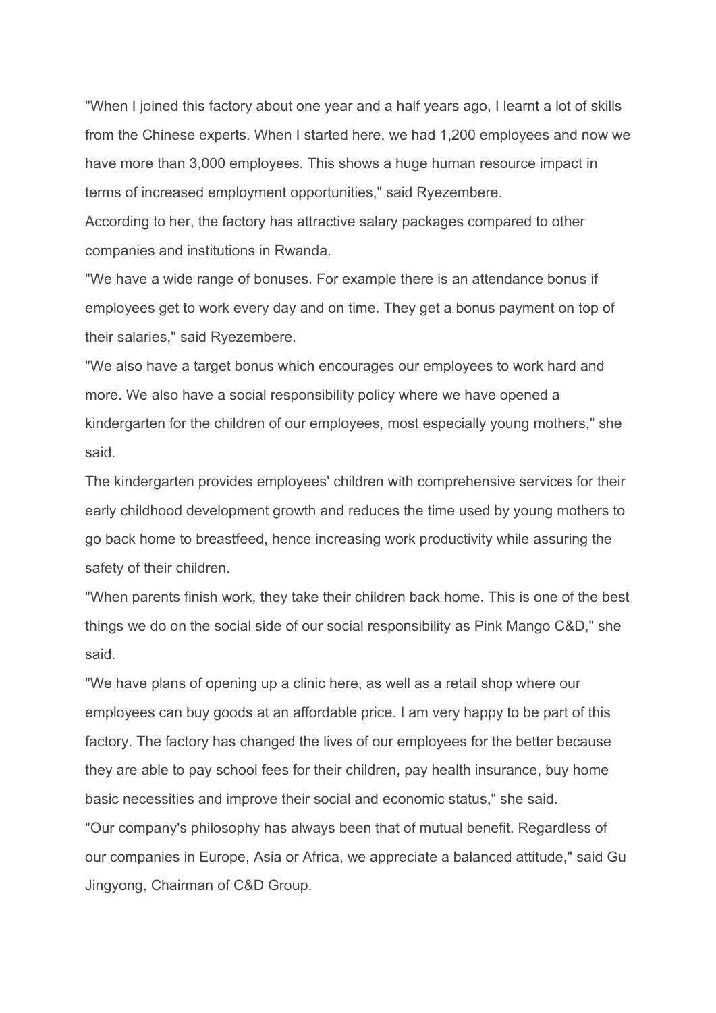"When I joined this factory about one year and a half years ago, I learnt a lot of skills from the Chinese experts. When I started here, we had 1,200 employees and now we have more than 3,000 employees. This shows a huge human resource impact in terms of increased employment opportunities," said Ryezembere.

According to her, the factory has attractive salary packages compared to other companies and institutions in Rwanda.

"We have a wide range of bonuses. For example there is an attendance bonus if employees get to work every day and on time. They get a bonus payment on top of their salaries," said Ryezembere.

"We also have a target bonus which encourages our employees to work hard and more. We also have a social responsibility policy where we have opened a kindergarten for the children of our employees, most especially young mothers," she said.

The kindergarten provides employees' children with comprehensive services for their early childhood development growth and reduces the time used by young mothers to go back home to breastfeed, hence increasing work productivity while assuring the safety of their children.

"When parents finish work, they take their children back home. This is one of the best things we do on the social side of our social responsibility as Pink Mango C&D," she said.

"We have plans of opening up a clinic here, as well as a retail shop where our employees can buy goods at an affordable price. I am very happy to be part of this factory. The factory has changed the lives of our employees for the better because they are able to pay school fees for their children, pay health insurance, buy home basic necessities and improve their social and economic status," she said. "Our company's philosophy has always been that of mutual benefit. Regardless of our companies in Europe, Asia or Africa, we appreciate a balanced attitude," said Gu Jingyong, Chairman of C&D Group.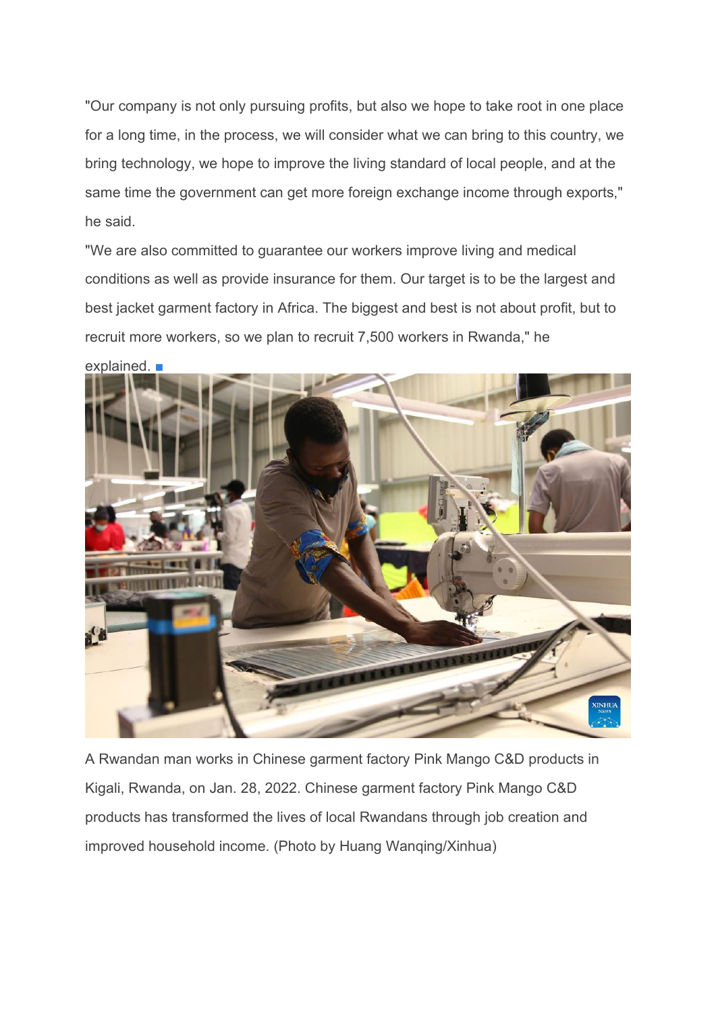"Our company is not only pursuing profits, but also we hope to take root in one place for a long time, in the process, we will consider what we can bring to this country, we bring technology, we hope to improve the living standard of local people, and at the same time the government can get more foreign exchange income through exports," he said.

"We are also committed to guarantee our workers improve living and medical conditions as well as provide insurance for them. Our target is to be the largest and best jacket garment factory in Africa. The biggest and best is not about profit, but to recruit more workers, so we plan to recruit 7,500 workers in Rwanda," he



explained. ■

A Rwandan man works in Chinese garment factory Pink Mango C&D products in Kigali, Rwanda, on Jan. 28, 2022. Chinese garment factory Pink Mango C&D products has transformed the lives of local Rwandans through job creation and improved household income. (Photo by Huang Wanqing/Xinhua)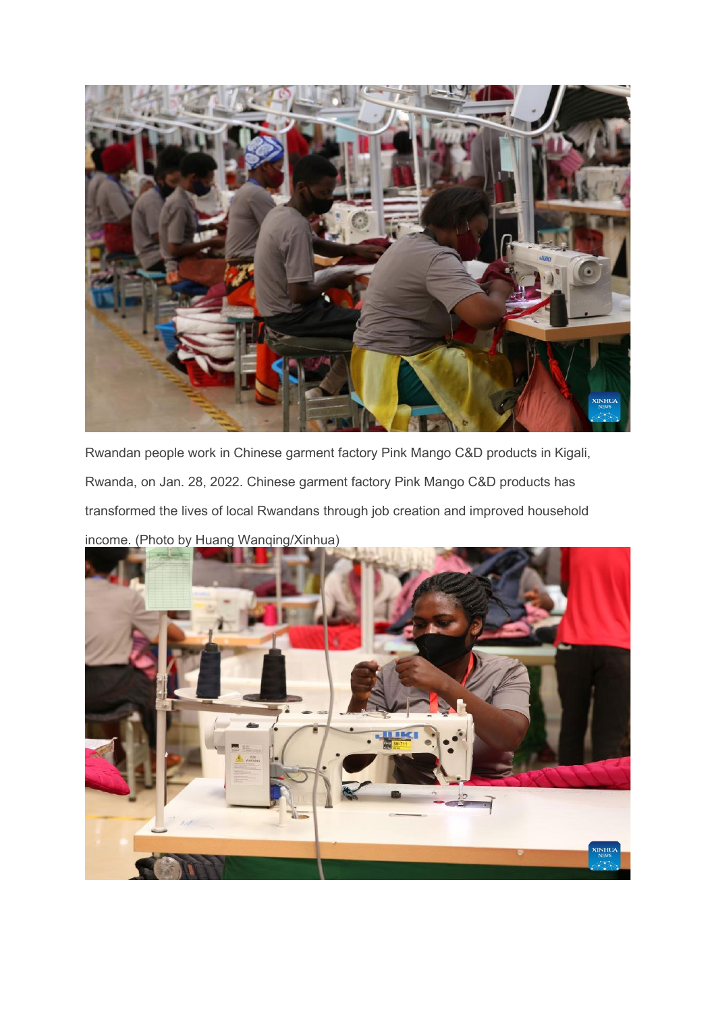

Rwandan people work in Chinese garment factory Pink Mango C&D products in Kigali, Rwanda, on Jan. 28, 2022. Chinese garment factory Pink Mango C&D products has transformed the lives of local Rwandans through job creation and improved household income. (Photo by Huang Wanqing/Xinhua)